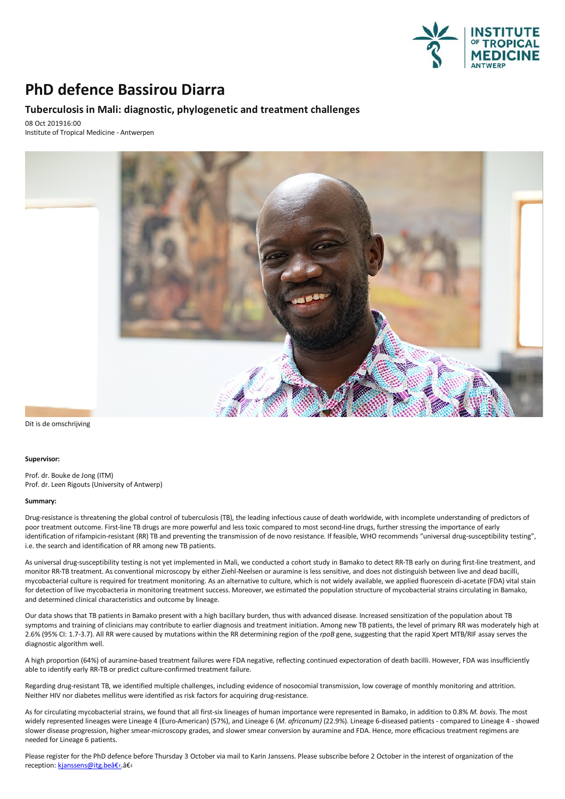

## **PhD defence Bassirou Diarra**

### **Tuberculosis in Mali: diagnostic, phylogenetic and treatment challenges**

08 Oct 201916:00 Institute of Tropical Medicine - Antwerpen



Dit is de omschrijving

#### **Supervisor:**

Prof. dr. Bouke de Jong (ITM) Prof. dr. Leen Rigouts (University of Antwerp)

#### **Summary:**

Drug-resistance is threatening the global control of tuberculosis (TB), the leading infectious cause of death worldwide, with incomplete understanding of predictors of poor treatment outcome. First-line TB drugs are more powerful and less toxic compared to most second-line drugs, further stressing the importance of early identification of rifampicin-resistant (RR)TB and preventing the transmission of de novo resistance. If feasible, WHO recommends "universal drug-susceptibility testing", i.e. the search and identification of RR among new TB patients.

As universal drug-susceptibility testing is not yet implemented in Mali, we conducted a cohort study in Bamako to detect RR-TB early on during first-line treatment, and<br>monitor RR-TB treatment. As conventional microscopy b for detection of live mycobacteria in monitoring treatment success. Moreover, we estimated the population structure of mycobacterial strains circulating in Bamako, and determined clinical characteristics and outcome by lineage.

Our data shows that TB patients in Bamako present with a high bacillary burden, thus with advanced disease. Increased sensitization of the population about TB symptoms and training of clinicians may contribute to earlier diagnosis and treatment initiation. Among new TB patients, the level of primary RR was moderately high at 2.6% (95% CI: 1.7-3.7). All RR were caused by mutations within the RR determining region of the *rpoB* gene, suggesting that the rapid Xpert MTB/RIF assay serves the diagnosticalgorithm well.

A high proportion (64%) of auramine-based treatment failures were FDA negative, reflecting continued expectoration of death bacilli. However, FDA was insufficiently able to identify early RR-TB or predict culture-confirmed treatment failure.

Regarding drug-resistant TB, we identified multiple challenges, including evidence of nosocomial transmission, low coverage of monthly monitoring and attrition.<br>Neither HIV nor diabetes mellitus were identified as risk fac

As for circulating mycobacterial strains, we found that all first-six lineages of human importance were represented in Bamako, in addition to 0.8% M. bovis. The most widely represented lineages were Lineage 4 (Euro-America slower disease progression, higher smear-microscopy grades, and slower smear conversion by auramine and FDA. Hence, more efficacious treatment regimens are needed for Lineage 6 patients.

Please register for the PhD defence before Thursday 3 Octobervia mail to Karin Janssens. Please subscribe before 2 October in the interest of organization of the reception: kjanssens@itg.bea€c.a€c